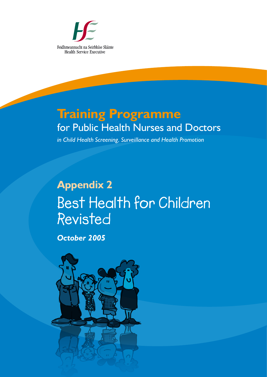

## **Training Programme** for Public Health Nurses and Doctors

*in Child Health Screening, Surveillance and Health Promotion*

## **Appendix 2 Best Health for Children Revisted**

*October 2005*

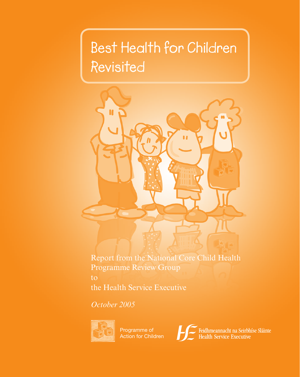# **Best Health for Children Revisited**



Report from the National Core Child Health Programme Review Group to the Health Service Executive

*October 2005*



Programme of Action for Children



Feidhmeannacht na Seirbhíse Sláinte<br>Health Service Executive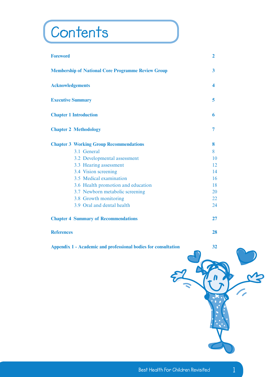# **Contents**

| <b>Foreword</b><br>$\overline{2}$                         |                      |  |  |
|-----------------------------------------------------------|----------------------|--|--|
| <b>Membership of National Core Programme Review Group</b> | 3                    |  |  |
| <b>Acknowledgements</b>                                   | $\blacktriangleleft$ |  |  |
| <b>Executive Summary</b>                                  | 5                    |  |  |
| <b>Chapter 1 Introduction</b>                             | 6                    |  |  |
| <b>Chapter 2 Methodology</b>                              | 7                    |  |  |
| <b>Chapter 3 Working Group Recommendations</b>            | 8                    |  |  |
| 3.1 General                                               | 8                    |  |  |
| 3.2 Developmental assessment                              | 10                   |  |  |
| 3.3 Hearing assessment                                    | 12                   |  |  |
| 3.4 Vision screening                                      | 14                   |  |  |
| 3.5 Medical examination                                   | 16                   |  |  |
| 3.6 Health promotion and education                        | 18                   |  |  |
| 3.7 Newborn metabolic screening                           | 20                   |  |  |
| 3.8 Growth monitoring                                     | 22                   |  |  |
| 3.9 Oral and dental health                                | 24                   |  |  |
| <b>Chapter 4 Summary of Recommendations</b>               | 27                   |  |  |
| <b>References</b>                                         | 28                   |  |  |

**Appendix 1 - Academic and professional bodies for consultation 32**

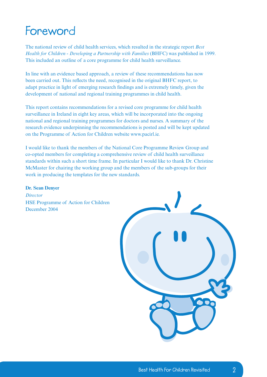## **Foreword**

The national review of child health services, which resulted in the strategic report *Best Health for Children - Developing a Partnership with Families* (BHFC) was published in 1999. This included an outline of a core programme for child health surveillance.

In line with an evidence based approach, a review of these recommendations has now been carried out. This reflects the need, recognised in the original BHFC report, to adapt practice in light of emerging research findings and is extremely timely, given the development of national and regional training programmes in child health.

This report contains recommendations for a revised core programme for child health surveillance in Ireland in eight key areas, which will be incorporated into the ongoing national and regional training programmes for doctors and nurses. A summary of the research evidence underpinning the recommendations is posted and will be kept updated on the Programme of Action for Children website www.pacirl.ie.

I would like to thank the members of the National Core Programme Review Group and co-opted members for completing a comprehensive review of child health surveillance standards within such a short time frame. In particular I would like to thank Dr. Christine McMaster for chairing the working group and the members of the sub-groups for their work in producing the templates for the new standards.

#### **Dr. Sean Denyer**

*Director* HSE Programme of Action for Children December 2004

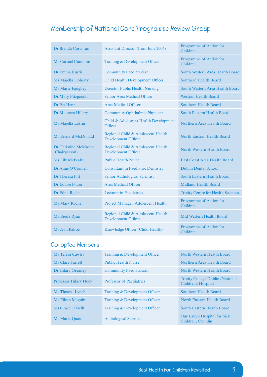## **Membership of National Core Programme Review Group**

| Dr Brenda Corcoran                            | <b>Assistant Director (from June 2004)</b>                       | Programme of Action for<br>Children       |
|-----------------------------------------------|------------------------------------------------------------------|-------------------------------------------|
| <b>Ms Carmel Cummins</b>                      | Training & Development Officer                                   | Programme of Action for<br>Children       |
| <b>Dr Emma Curtis</b>                         | <b>Community Paediatrician</b>                                   | South Western Area Health Board           |
| Ms Majella Doherty                            | Child Health Development Officer                                 | <b>Southern Health Board</b>              |
| <b>Ms Marie Faughey</b>                       | <b>Director Public Health Nursing</b>                            | South Western Area Health Board           |
| Dr Mary Fitzgerald                            | Senior Area Medical Officer                                      | Western Health Board                      |
| Dr Pat Henn                                   | <b>Area Medical Officer</b>                                      | Southern Health Board                     |
| Dr Maureen Hillery                            | <b>Community Ophthalmic Physician</b>                            | South Eastern Health Board                |
| Ms Majella Loftus                             | Child & Adolescent Health Development<br>Officer                 | Northern Area Health Board                |
| Mr Bernard McDonald                           | Regional Child & Adolescent Health<br><b>Development Officer</b> | North Eastern Health Board                |
| <b>Dr Christine McMaster</b><br>(Chairperson) | Regional Child & Adolescent Health<br><b>Development Officer</b> | North Western Health Board                |
| <b>Ms Lily McPeake</b>                        | <b>Public Health Nurse</b>                                       | <b>East Coast Area Health Board</b>       |
| Dr Anne O'Connell                             | <b>Consultant in Paediatric Dentistry</b>                        | <b>Dublin Dental School</b>               |
| Dr Theresa Pitt                               | Senior Audiological Scientist                                    | South Eastern Health Board                |
| <b>Dr Louise Power</b>                        | <b>Area Medical Officer</b>                                      | <b>Midland Health Board</b>               |
| Dr Edna Roche                                 | <b>Lecturer</b> in Paediatrics                                   | <b>Trinity Centre for Health Sciences</b> |
| <b>Ms Mary Roche</b>                          | Project Manager, Adolescent Health                               | Programme of Action for<br>Children       |
| Ms Breda Ryan                                 | Regional Child & Adolescent Health<br><b>Development Officer</b> | Mid Western Health Board                  |
| Ms Jean Kilroe                                | Knowledge Officer (Child Health)                                 | Programme of Action for<br>Children       |

## **Co-opted Members**

| <b>Ms Teresa Cawley</b>      | Training & Development Officer  | North Western Heatlh Board                                     |
|------------------------------|---------------------------------|----------------------------------------------------------------|
| <b>Ms Clare Farrell</b>      | <b>Public Health Nurse</b>      | Northern Area Health Board                                     |
| Dr Hilary Greaney            | <b>Community Paediatrician</b>  | North Western Health Board                                     |
| <b>Professor Hilary Hoey</b> | <b>Professor of Paediatrics</b> | <b>Trinity College Dublin /National</b><br>Children's Hospital |
| Ms Theresa Lynch             | Training & Development Officer  | Southern Health Board                                          |
| <b>Ms Eileen Maguire</b>     | Training & Development Officer  | North Eastern Health Board                                     |
| Ms Grace O'Neill             | Training & Development Officer  | South Eastern Health Board                                     |
| Ms Maria Quaid               | <b>Audiological Scientist</b>   | Our Lady's Hospital for Sick<br>Children, Crumlin              |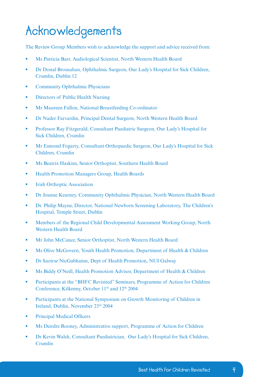## **Acknowledgements**

The Review Group Members wish to acknowledge the support and advice received from:

- **K.** Ms Patricia Barr, Audiological Scientist, North Western Health Board
- **•** Dr Donal Brosnahan, Ophthalmic Surgeon, Our Lady's Hospital for Sick Children, Crumlin, Dublin 12
- **Community Ophthalmic Physicians**
- **Directors of Public Health Nursing**
- **KS** Maureen Fallon, National Breastfeeding Co-ordinator
- **Dr Nader Farvardin, Principal Dental Surgeon, North Western Health Board**
- **•** Professor Ray Fitzgerald, Consultant Paediatric Surgeon, Our Lady's Hospital for Sick Children, Crumlin
- **IDED Mr Esmond Fogarty, Consultant Orthopaedic Surgeon, Our Lady's Hospital for Sick** Children, Crumlin
- **K.** Ms Beatrix Haskins, Senior Orthoptist, Southern Health Board
- **Health Promotion Managers Group, Health Boards**
- **First Orthoptic Association**
- **Dr Joanne Kearney, Community Ophthalmic Physician, North Western Health Board**
- **Dr. Philip Mayne, Director, National Newborn Screening Laboratory, The Children's** Hospital, Temple Street, Dublin
- **KRED Members of the Regional Child Developmental Assessment Working Group, North** Western Health Board
- **Kr John McCance, Senior Orthoptist, North Western Health Board**
- **Ks Olive McGovern, Youth Health Promotion, Department of Health & Children**
- **Dr Saoirse NicGabhainn, Dept of Health Promotion, NUI Galway**
- **Ks Biddy O'Neill, Health Promotion Advisor, Department of Health & Children**
- **•** Participants at the "BHFC Revisited" Seminars, Programme of Action for Children Conference, Kilkenny, October 11<sup>th</sup> and 12<sup>th</sup> 2004
- **•** Participants at the National Symposium on Growth Monitoring of Children in Ireland, Dublin, November 23rd 2004
- **•** Principal Medical Officers
- **KIDE:** Ms Deirdre Rooney, Administrative support, Programme of Action for Children
- **Dr Kevin Walsh, Consultant Paediatrician, Our Lady's Hospital for Sick Children,** Crumlin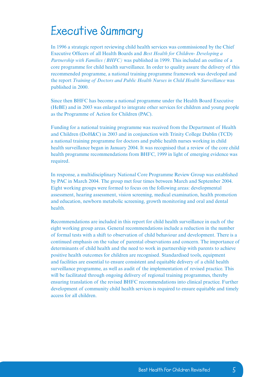## **Executive Summary**

In 1996 a strategic report reviewing child health services was commissioned by the Chief Executive Officers of all Health Boards and *Best Health for Children- Developing a Partnership with Families (BHFC)* was published in 1999. This included an outline of a core programme for child health surveillance. In order to quality assure the delivery of this recommended programme, a national training programme framework was developed and the report *Training of Doctors and Public Health Nurses in Child Health Surveillance* was published in 2000.

Since then BHFC has become a national programme under the Health Board Executive (HeBE) and in 2003 was enlarged to integrate other services for children and young people as the Programme of Action for Children (PAC).

Funding for a national training programme was received from the Department of Health and Children (DoH&C) in 2003 and in conjunction with Trinity College Dublin (TCD) a national training programme for doctors and public health nurses working in child health surveillance began in January 2004. It was recognised that a review of the core child health programme recommendations from BHFC, 1999 in light of emerging evidence was required.

In response, a multidisciplinary National Core Programme Review Group was established by PAC in March 2004. The group met four times between March and September 2004. Eight working groups were formed to focus on the following areas: developmental assessment, hearing assessment, vision screening, medical examination, health promotion and education, newborn metabolic screening, growth monitoring and oral and dental health.

Recommendations are included in this report for child health surveillance in each of the eight working group areas. General recommendations include a reduction in the number of formal tests with a shift to observation of child behaviour and development. There is a continued emphasis on the value of parental observations and concern. The importance of determinants of child health and the need to work in partnership with parents to achieve positive health outcomes for children are recognised. Standardised tools, equipment and facilities are essential to ensure consistent and equitable delivery of a child health surveillance programme, as well as audit of the implementation of revised practice. This will be facilitated through ongoing delivery of regional training programmes, thereby ensuring translation of the revised BHFC recommendations into clinical practice. Further development of community child health services is required to ensure equitable and timely access for all children.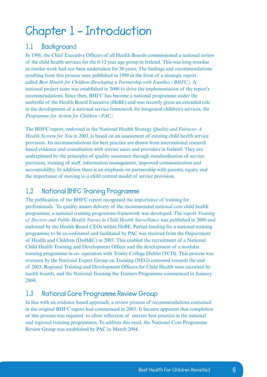## **Chapter 1 - Introduction**

### **1.1 Background**

In 1996, the Chief Executive Officers of all Health Boards commissioned a national review of the child health services for the 0-12 year age group in Ireland. This was long overdue as similar work had not been undertaken for 30 years. The findings and recommendations resulting from this process were published in 1999 in the form of a strategic report called *Best Health for Children-Developing a Partnership with Families (BHFC)*. A national project team was established in 2000 to drive the implementation of the report's recommendations. Since then, BHFC has become a national programme under the umbrella of the Health Board Executive (HeBE) and was recently given an extended role in the development of a national service framework for integrated children's services, the *Programme for Action for Children (PAC).* 

The BHFC report, endorsed in the National Health Strategy *Quality and Fairness- A Health System for You* in 2001, is based on an assessment of existing child health service provision. Its recommendations for best practice are drawn from international research based evidence and consultation with service users and providers in Ireland. They are underpinned by the principles of quality assurance through standardisation of service provision, training of staff, information management, improved communication and accountability. In addition there is an emphasis on partnership with parents, equity and the importance of moving to a child centred model of service provision.

## **1.2 National BHFC Training Programme**

The publication of the BHFC report recognised the importance of training for professionals. To quality assure delivery of the recommended national core child health programme, a national training programme framework was developed. The report *Training of Doctors and Public Health Nurses in Child Health Surveillance* was published in 2000 and endorsed by the Health Board CEOs within HeBE. Partial funding for a national training programme to be co-ordinated and facilitated by PAC was received from the Department of Health and Children (DoH&C) in 2003. This enabled the recruitment of a National Child Health Training and Development Officer and the development of a modular training programme in co- operation with Trinity College Dublin (TCD). This process was overseen by the National Expert Group on Training (NEG) convened towards the end of 2003. Regional Training and Development Officers for Child Health were recruited by health boards, and the National Training the Trainers Programme commenced in January 2004.

### **1.3 National Core Programme Review Group**

In line with an evidence based approach, a review process of recommendations contained in the original BHFC report had commenced in 2003. It became apparent that completion of this process was required to allow reflection of current best practice in the national and regional training programmes. To address this need, the National Core Programme Review Group was established by PAC in March 2004.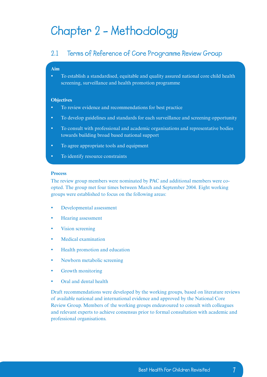## **Chapter 2 - Methodology**

### **2.1 Terms of Reference of Core Programme Review Group**

#### **Aim**

• To establish a standardised, equitable and quality assured national core child health screening, surveillance and health promotion programme

#### **Objectives**

- To review evidence and recommendations for best practice
- To develop guidelines and standards for each surveillance and screening opportunity
- To consult with professional and academic organisations and representative bodies towards building broad based national support
- To agree appropriate tools and equipment
- To identify resource constraints

#### **Process**

The review group members were nominated by PAC and additional members were coopted. The group met four times between March and September 2004. Eight working groups were established to focus on the following areas:

- Developmental assessment
- Hearing assessment
- Vision screening
- Medical examination
- Health promotion and education
- Newborn metabolic screening
- Growth monitoring
- Oral and dental health

Draft recommendations were developed by the working groups, based on literature reviews of available national and international evidence and approved by the National Core Review Group. Members of the working groups endeavoured to consult with colleagues and relevant experts to achieve consensus prior to formal consultation with academic and professional organisations.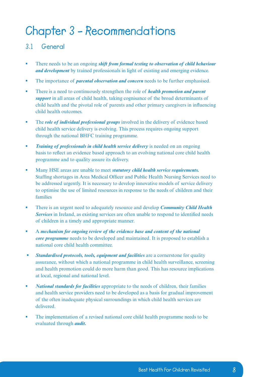## **Chapter 3 - Recommendations**

### **3.1 General**

- **EXECUTE:** There needs to be an ongoing *shift from formal testing to observation of child behaviour and development* by trained professionals in light of existing and emerging evidence.
- The importance of *parental observation and concern* needs to be further emphasised.
- **EXECUTE:** There is a need to continuously strengthen the role of *health promotion and parent support* in all areas of child health, taking cognisance of the broad determinants of child health and the pivotal role of parents and other primary caregivers in influencing child health outcomes.
- **The** *role of individual professional groups* involved in the delivery of evidence based child health service delivery is evolving. This process requires ongoing support through the national BHFC training programme.
- **Training of professionals in child health service delivery** is needed on an ongoing basis to reflect an evidence based approach to an evolving national core child health programme and to quality assure its delivery.
- **Many HSE areas are unable to meet** *statutory child health service requirements.* Staffing shortages in Area Medical Officer and Public Health Nursing Services need to be addressed urgently. It is necessary to develop innovative models of service delivery to optimise the use of limited resources in response to the needs of children and their families
- **EXECUTE:** There is an urgent need to adequately resource and develop *Community Child Health Services* in Ireland, as existing services are often unable to respond to identified needs of children in a timely and appropriate manner.
- **EX<sub>I</sub>** A *mechanism for ongoing review of the evidence base and content of the national core programme* needs to be developed and maintained. It is proposed to establish a national core child health committee.
- **Standardised protocols, tools, equipment and facilities** are a cornerstone for quality assurance, without which a national programme in child health surveillance, screening and health promotion could do more harm than good. This has resource implications at local, regional and national level.
- **National standards for facilities** appropriate to the needs of children, their families and health service providers need to be developed as a basis for gradual improvement of the often inadequate physical surroundings in which child health services are delivered.
- The implementation of a revised national core child health programme needs to be evaluated through *audit.*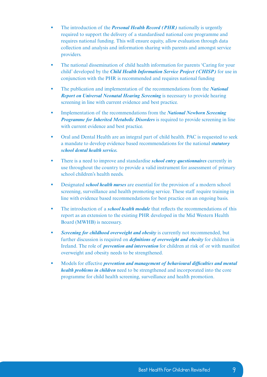- ß The introduction of the *Personal Health Record (PHR)* nationally is urgently required to support the delivery of a standardised national core programme and requires national funding. This will ensure equity, allow evaluation through data collection and analysis and information sharing with parents and amongst service providers.
- The national dissemination of child health information for parents 'Caring for your child' developed by the *Child Health Information Service Project (CHISP)* for use in conjunction with the PHR is recommended and requires national funding
- **The publication and implementation of the recommendations from the** *National* $\blacksquare$ *Report on Universal Neonatal Hearing Screening* is necessary to provide hearing screening in line with current evidence and best practice.
- **EXECUTE:** Implementation of the recommendations from the *National Newborn Screening Programme for Inherited Metabolic Disorders* is required to provide screening in line with current evidence and best practice.
- Oral and Dental Health are an integral part of child health. PAC is requested to seek a mandate to develop evidence based recommendations for the national *statutory school dental health service.*
- **EXECUTE:** There is a need to improve and standardise *school entry questionnaires* currently in use throughout the country to provide a valid instrument for assessment of primary school children's health needs.
- **EXECUTE:** Designated *school health nurses* are essential for the provision of a modern school screening, surveillance and health promoting service. These staff require training in line with evidence based recommendations for best practice on an ongoing basis.
- **The introduction of a** *school health module* that reflects the recommendations of this report as an extension to the existing PHR developed in the Mid Western Health Board (MWHB) is necessary.
- **Screening for childhood overweight and obesity** is currently not recommended, but further discussion is required on *definitions of overweight and obesity* for children in Ireland. The role of *prevention and intervention* for children at risk of or with manifest overweight and obesity needs to be strengthened.
- **Models for effective** *prevention and management of behavioural difficulties and mental* $\blacksquare$ *health problems in children* need to be strengthened and incorporated into the core programme for child health screening, surveillance and health promotion.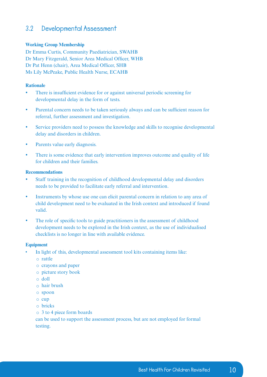### **3.2 Developmental Assessment**

#### **Working Group Membership**

Dr Emma Curtis, Community Paediatrician, SWAHB Dr Mary Fitzgerald, Senior Area Medical Officer, WHB Dr Pat Henn (chair), Area Medical Officer, SHB Ms Lily McPeake, Public Health Nurse, ECAHB

#### **Rationale**

- There is insufficient evidence for or against universal periodic screening for developmental delay in the form of tests.
- Parental concern needs to be taken seriously always and can be sufficient reason for referral, further assessment and investigation.
- Service providers need to possess the knowledge and skills to recognise developmental delay and disorders in children.
- Parents value early diagnosis.
- There is some evidence that early intervention improves outcome and quality of life for children and their families.

#### **Recommendations**

- Staff training in the recognition of childhood developmental delay and disorders needs to be provided to facilitate early referral and intervention.
- Instruments by whose use one can elicit parental concern in relation to any area of child development need to be evaluated in the Irish context and introduced if found valid.
- The role of specific tools to guide practitioners in the assessment of childhood development needs to be explored in the Irish context, as the use of individualised checklists is no longer in line with available evidence.

#### **Equipment**

- In light of this, developmental assessment tool kits containing items like:
	- o rattle
	- o crayons and paper
	- o picture story book
	- o doll
	- o hair brush
	- o spoon
	- o cup
	- o bricks
	- o 3 to 4 piece form boards

 can be used to support the assessment process, but are not employed for formal testing.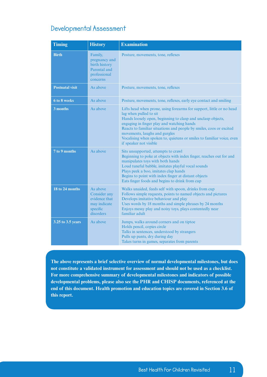## **Developmental Assessment**

| <b>Timing</b>          | <b>History</b>                                                                        | <b>Examination</b>                                                                                                                                                                                                                                                                                                                                                                                                     |
|------------------------|---------------------------------------------------------------------------------------|------------------------------------------------------------------------------------------------------------------------------------------------------------------------------------------------------------------------------------------------------------------------------------------------------------------------------------------------------------------------------------------------------------------------|
| <b>Birth</b>           | Family,<br>pregnancy and<br>birth history<br>Parental and<br>professional<br>concerns | Posture, movements, tone, reflexes                                                                                                                                                                                                                                                                                                                                                                                     |
| <b>Postnatal visit</b> | As above                                                                              | Posture, movements, tone, reflexes                                                                                                                                                                                                                                                                                                                                                                                     |
| 6 to 8 weeks           | As above                                                                              | Posture, movements, tone, reflexes, early eye contact and smiling                                                                                                                                                                                                                                                                                                                                                      |
| 3 months               | As above                                                                              | Lifts head when prone, using forearms for support, little or no head<br>lag when pulled to sit<br>Hands loosely open, beginning to clasp and unclasp objects,<br>engaging in finger play and watching hands<br>Reacts to familiar situations and people by smiles, coos or excited<br>movements, laughs and gurgles<br>Vocalising when spoken to, quietens or smiles to familiar voice, even<br>if speaker not visible |
| 7 to 9 months          | As above                                                                              | Sits unsupported, attempts to crawl<br>Beginning to poke at objects with index finger, reaches out for and<br>manipulates toys with both hands<br>Loud tuneful babble, imitates playful vocal sounds<br>Plays peek a boo, imitates clap hands<br>Begins to point with index finger at distant objects<br>Eats finger foods and begins to drink from cup                                                                |
| 18 to 24 months        | As above<br>Consider any<br>evidence that<br>may indicate<br>specific<br>disorders    | Walks unaided, feeds self with spoon, drinks from cup<br>Follows simple requests, points to named objects and pictures<br>Develops imitative behaviour and play<br>Uses words by 18 months and simple phrases by 24 months<br>Enjoys messy play and noisy toys, plays contentedly near<br>familiar adult                                                                                                               |
| 3.25 to 3.5 years      | As above                                                                              | Jumps, walks around corners and on tiptoe<br>Holds pencil, copies circle<br>Talks in sentences, understood by strangers<br>Pulls up pants, dry during day<br>Takes turns in games, separates from parents                                                                                                                                                                                                              |

**The above represents a brief selective overview of normal developmental milestones, but does not constitute a validated instrument for assessment and should not be used as a checklist. For more comprehensive summary of developmental milestones and indicators of possible developmental problems, please also see the PHR and CHISP documents, referenced at the end of this document. Health promotion and education topics are covered in Section 3.6 of this report.**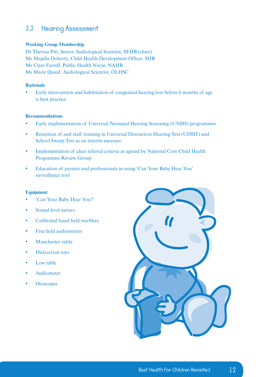### **3.3 Hearing Assessment**

#### **Working Group Membership**

Dr Theresa Pitt, Senior Audiological Scientist, SEHB (chair) Ms Majella Doherty, Child Health Development Officer, SHB Ms Clare Farrell, Public Health Nurse, NAHB Ms Marie Quaid, Audiological Scientist, OLHSC

#### **Rationale**

• Early intervention and habilitation of congenital hearing loss before 6 months of age is best practice

#### **Recommendations**

- Early implementation of Universal Neonatal Hearing Screening (UNHS) programmes
- Retention of and staff training in Universal Distraction Hearing Test (UDHT) and School Sweep Test as an interim measure
- Implementation of clear referral criteria as agreed by National Core Child Health Programme Review Group
- Education of parents and professionals in using 'Can Your Baby Hear You' surveillance tool

#### **Equipment**

- 'Can Your Baby Hear You?'
- Sound level meters
- Calibrated hand held warblers
- Free field audiometers
- Manchester rattle
- Distraction toys
- Low table
- Audiometer
- **Otoscopes**

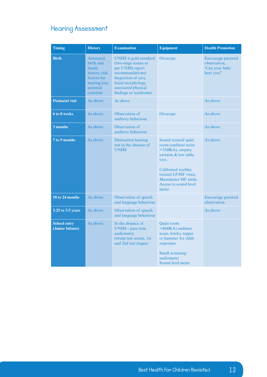## **Hearing Assessment**

| <b>Timing</b>                           | <b>History</b>                                                                                             | <b>Examination</b>                                                                                                                                                                | <b>Equipment</b>                                                                                                                                                                                                 | <b>Health Promotion</b>                                            |
|-----------------------------------------|------------------------------------------------------------------------------------------------------------|-----------------------------------------------------------------------------------------------------------------------------------------------------------------------------------|------------------------------------------------------------------------------------------------------------------------------------------------------------------------------------------------------------------|--------------------------------------------------------------------|
| <b>Birth</b>                            | Antenatal,<br>birth and<br>family<br>history, risk<br>factors for<br>hearing loss,<br>parental<br>concerns | UNHS is gold standard<br>(two-stage screen as<br>per UNHS report<br>recommendations)<br>Inspection of ears,<br>facial morphology,<br>associated physical<br>findings or syndromes | Otoscope                                                                                                                                                                                                         | Encourage parental<br>observation,<br>'Can your baby<br>hear you?' |
| <b>Postnatal visit</b>                  | As above                                                                                                   | As above                                                                                                                                                                          |                                                                                                                                                                                                                  | As above                                                           |
| 6 to 8 weeks                            | As above                                                                                                   | Observation of<br>auditory behaviour                                                                                                                                              | Otoscope                                                                                                                                                                                                         | As above                                                           |
| 3 months                                | As above                                                                                                   | Observation of<br>auditory behaviour                                                                                                                                              |                                                                                                                                                                                                                  | As above                                                           |
| 7 to 9 months                           | As above                                                                                                   | Distraction hearing<br>test in the absence of<br><b>UNHS</b>                                                                                                                      | Sound treated/ quiet<br>room (ambient noise<br>$<$ 35dB(A), carpets,<br>curtains & low table,<br>toys.<br>Calibrated warbler,<br>trained LF/HF voice,<br>Manchester HF rattle.<br>Access to sound level<br>meter | As above                                                           |
| 18 to 24 months                         | As above                                                                                                   | Observation of speech<br>and language behaviour                                                                                                                                   |                                                                                                                                                                                                                  | Encourage parental<br>observation                                  |
| 3.25 to 3.5 years                       | As above                                                                                                   | Observation of speech<br>and language behaviour                                                                                                                                   |                                                                                                                                                                                                                  | As above                                                           |
| <b>School entry</b><br>(Junior Infants) | As above                                                                                                   | In the absence of<br><b>UNHS</b> - pure tone<br>audiometry<br>(sweep test screen, 1st<br>and 2nd test stages)                                                                     | <b>Oujet</b> room<br>$\leq 40$ dB(A) ambient<br>noise, bricks, tapper<br>or hammer for child<br>responses<br>Small screening<br>audiometer<br>Sound level meter                                                  |                                                                    |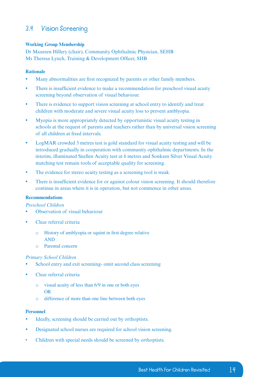## **3.4 Vision Screening**

#### **Working Group Membership**

Dr Maureen Hillery (chair), Community Ophthalmic Physician, SEHB Ms Theresa Lynch, Training & Development Officer, SHB

#### **Rationale**

- Many abnormalities are first recognized by parents or other family members.
- There is insufficient evidence to make a recommendation for preschool visual acuity screening beyond observation of visual behaviour.
- There is evidence to support vision screening at school entry to identify and treat children with moderate and severe visual acuity loss to prevent amblyopia.
- Myopia is more appropriately detected by opportunistic visual acuity testing in schools at the request of parents and teachers rather than by universal vision screening of all children at fixed intervals.
- LogMAR crowded 3 metres test is gold standard for visual acuity testing and will be introduced gradually in cooperation with community ophthalmic departments. In the interim, illuminated Snellen Acuity test at 6 metres and Sonksen Silver Visual Acuity matching test remain tools of acceptable quality for screening.
- The evidence for stereo acuity testing as a screening tool is weak.
- There is insufficient evidence for or against colour vision screening. It should therefore continue in areas where it is in operation, but not commence in other areas.

#### **Recommendations**

*Preschool Children*

- Observation of visual behaviour
- Clear referral criteria
	- o History of amblyopia or squint in first degree relative AND
	- o Parental concern

#### *Primary School Children*

- School entry and exit screening- omit second class screening
- Clear referral criteria
	- o visual acuity of less than 6/9 in one or both eyes OR
	- o difference of more than one line between both eyes

#### **Personnel**

- Ideally, screening should be carried out by orthoptists.
- Designated school nurses are required for school vision screening.
- Children with special needs should be screened by orthoptists.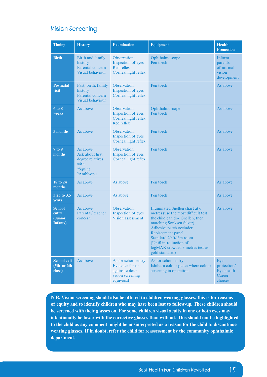## **Vision Screening**

| <b>Timing</b>                                         | <b>History</b>                                                                    | <b>Examination</b>                                                                        | <b>Equipment</b>                                                                                                                                                                                                                                                                               | <b>Health</b><br>Promotion                              |
|-------------------------------------------------------|-----------------------------------------------------------------------------------|-------------------------------------------------------------------------------------------|------------------------------------------------------------------------------------------------------------------------------------------------------------------------------------------------------------------------------------------------------------------------------------------------|---------------------------------------------------------|
| <b>Birth</b>                                          | Birth and family<br>history<br>Parental concern<br>Visual behaviour               | Observation:<br>Inspection of eyes<br>Red reflex<br>Corneal light reflex                  | Ophthalmoscope<br>Pen torch                                                                                                                                                                                                                                                                    | Inform<br>parents<br>of normal<br>vision<br>development |
| <b>Postnatal</b><br>visit                             | Past, birth, family<br>history<br>Parental concern<br>Visual behaviour            | Observation:<br>Inspection of eyes<br>Corneal light reflex                                | Pen torch                                                                                                                                                                                                                                                                                      | As above                                                |
| <b>6 to 8</b><br>weeks                                | As above                                                                          | Observation:<br>Inspection of eyes<br>Corneal light reflex<br>Red reflex                  | Ophthalmoscope<br>Pen torch                                                                                                                                                                                                                                                                    | As above                                                |
| 3 months                                              | As above                                                                          | Observation:<br>Inspection of eyes<br>Corneal light reflex                                | Pen torch                                                                                                                                                                                                                                                                                      | As above                                                |
| 7 to 9<br>months                                      | As above<br>Ask about first<br>degree relatives<br>with:<br>?Squint<br>?Amblyopia | Observation:<br>Inspection of eyes<br>Corneal light reflex                                | Pen torch                                                                                                                                                                                                                                                                                      | As above                                                |
| 18 to 24<br>months                                    | As above                                                                          | As above                                                                                  | Pen torch                                                                                                                                                                                                                                                                                      | As above                                                |
| 3.25 to 3.5<br>years                                  | As above                                                                          | As above                                                                                  | Pen torch                                                                                                                                                                                                                                                                                      | As above                                                |
| <b>School</b><br>entry<br>(Junior<br><b>Infants</b> ) | As above<br>Parental/teacher<br>concern                                           | Observation:<br>Inspection of eyes<br><b>Vision assessment</b>                            | Illuminated Snellen chart at 6<br>metres (use the most difficult test)<br>the child can do-Snellen, then<br>matching Sonksen Silver)<br>Adhesive patch occluder<br>Replacement panel<br>Standard 20 ft/ 6m room<br>(Until introduction of<br>logMAR crowded 3 metres test as<br>gold standard) | As above                                                |
| <b>School exit</b><br>(5th or 6th<br>class)           | As above                                                                          | As for school entry<br>Evidence for or<br>against colour<br>vision screening<br>equivocal | As for school entry<br>Ishihara colour plates where colour<br>screening in operation                                                                                                                                                                                                           | Eye<br>protection/<br>Eye health<br>Career<br>choices   |

**N.B. Vision screening should also be offered to children wearing glasses, this is for reasons of equity and to identify children who may have been lost to follow-up. These children should be screened with their glasses on. For some children visual acuity in one or both eyes may intentionally be lower with the corrective glasses than without. This should not be highlighted to the child as any comment might be misinterpreted as a reason for the child to discontinue wearing glasses. If in doubt, refer the child for reassessment by the community ophthalmic department.**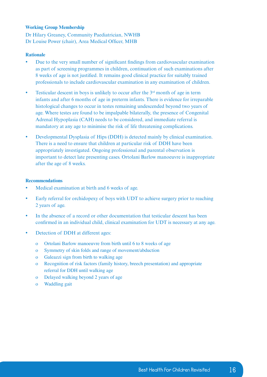#### **Working Group Membership**

Dr Hilary Greaney, Community Paediatrician, NWHB Dr Louise Power (chair), Area Medical Officer, MHB

#### **Rationale**

- Due to the very small number of significant findings from cardiovascular examination as part of screening programmes in children, continuation of such examinations after 8 weeks of age is not justified. It remains good clinical practice for suitably trained professionals to include cardiovascular examination in any examination of children.
- Testicular descent in boys is unlikely to occur after the  $3<sup>rd</sup>$  month of age in term infants and after 6 months of age in preterm infants. There is evidence for irreparable histological changes to occur in testes remaining undescended beyond two years of age. Where testes are found to be impalpable bilaterally, the presence of Congenital Adrenal Hypoplasia (CAH) needs to be considered, and immediate referral is mandatory at any age to minimise the risk of life threatening complications.
- Developmental Dysplasia of Hips (DDH) is detected mainly by clinical examination. There is a need to ensure that children at particular risk of DDH have been appropriately investigated. Ongoing professional and parental observation is important to detect late presenting cases. Ortolani Barlow manoeuvre is inappropriate after the age of 8 weeks.

#### **Recommendations**

- Medical examination at birth and 6 weeks of age.
- Early referral for orchidopexy of boys with UDT to achieve surgery prior to reaching 2 years of age.
- In the absence of a record or other documentation that testicular descent has been confirmed in an individual child, clinical examination for UDT is necessary at any age.
- Detection of DDH at different ages:
	- o Ortolani Barlow manoeuvre from birth until 6 to 8 weeks of age
	- o Symmetry of skin folds and range of movement/abduction
	- o Galeazzi sign from birth to walking age
	- o Recognition of risk factors (family history, breech presentation) and appropriate referral for DDH until walking age
	- o Delayed walking beyond 2 years of age
	- o Waddling gait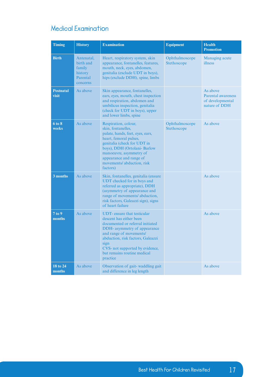## **Medical Examination**

| <b>Timing</b>             | <b>History</b>                                                       | <b>Examination</b>                                                                                                                                                                                                                                                               | <b>Equipment</b>              | <b>Health</b><br><b>Promotion</b>                                          |
|---------------------------|----------------------------------------------------------------------|----------------------------------------------------------------------------------------------------------------------------------------------------------------------------------------------------------------------------------------------------------------------------------|-------------------------------|----------------------------------------------------------------------------|
| <b>Birth</b>              | Antenatal,<br>birth and<br>family<br>history<br>Parental<br>concerns | Heart, respiratory system, skin<br>appearance, fontanelles, features,<br>mouth, neck, eyes, abdomen,<br>genitalia (exclude UDT in boys),<br>hips (exclude DDH), spine, limbs                                                                                                     | Ophthalmoscope<br>Stethoscope | Managing acute<br>illness                                                  |
| <b>Postnatal</b><br>visit | As above                                                             | Skin appearance, fontanelles,<br>ears, eyes, mouth, chest inspection<br>and respiration, abdomen and<br>umbilicus inspection, genitalia<br>(check for UDT in boys), upper<br>and lower limbs, spine                                                                              |                               | As above<br><b>Parental awareness</b><br>of developmental<br>nature of DDH |
| <b>6 to 8</b><br>weeks    | As above                                                             | Respiration, colour,<br>skin, fontanelles,<br>palate, hands, feet, eyes, ears,<br>heart, femoral pulses,<br>genitalia (check for UDT in<br>boys), DDH (Ortolani-Barlow<br>manoeuvre, asymmetry of<br>appearance and range of<br>movements/ abduction, risk<br>factors)           | Ophthalmoscope<br>Stethoscope | As above                                                                   |
| 3 months                  | As above                                                             | Skin, fontanelles, genitalia (ensure<br>UDT checked for in boys and<br>referred as appropriate), DDH<br>(asymmetry of appearance and<br>range of movements/ abduction,<br>risk factors, Galeazzi sign), signs<br>of heart failure                                                |                               | As above                                                                   |
| 7 to 9<br>months          | As above                                                             | UDT- ensure that testicular<br>descent has either been<br>documented or referral initiated<br>DDH- asymmetry of appearance<br>and range of movements/<br>abduction, risk factors, Galeazzi<br>sign<br>CVS- not supported by evidence,<br>but remains routine medical<br>practice |                               | As above                                                                   |
| 18 to 24<br>months        | As above                                                             | Observation of gait-waddling gait<br>and difference in leg length                                                                                                                                                                                                                |                               | As above                                                                   |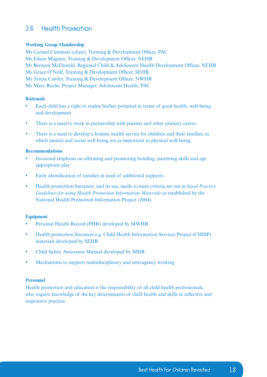### **3.6 Health Promotion**

#### **Working Group Membership**

Ms Carmel Cummins (chair), Training & Development Officer, PAC Ms Eileen Maguire, Training & Development Officer, NEHB Mr Bernard McDonald, Regional Child & Adolescent Health Development Officer, NEHB Ms Grace O'Neill, Training & Development Officer, SEHB Ms Teresa Cawley, Training & Development Officer, NWHB Ms Mary Roche, Project Manager, Adolescent Health, PAC

#### **Rationale**

- Each child has a right to realise his/her potential in terms of good health, well-being and development.
- There is a need to work in partnership with parents and other primary carers.
- There is a need to develop a holistic health service for children and their families, in which mental and social well-being are as important as physical well-being.

#### **Recommendations**

- Increased emphasis on affirming and promoting bonding, parenting skills and age appropriate play
- Early identification of families in need of additional supports
- Health promotion literature, and its use, needs to meet criteria set out in *Good Practice Guidelines for using Health Promotion Information Materials* as established by the National Health Promotion Information Project (2004).

#### **Equipment**

- Personal Health Record (PHR) developed by MWHB
- Health promotion literature e.g. Child Health Information Services Project (CHISP) materials developed by SEHB
- Child Safety Awareness Manual developed by MHB
- Mechanisms to support multidisciplinary and interagency working

#### **Personnel**

Health promotion and education is the responsibility of all child health professionals, who require knowledge of the key determinants of child health and skills in reflective and responsive practice.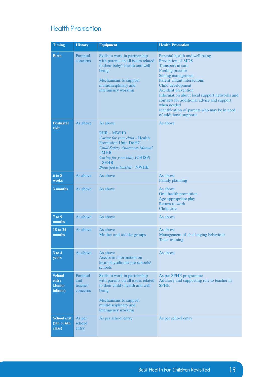## **Health Promotion**

| <b>Timing</b>                                 | <b>History</b>                         | <b>Equipment</b>                                                                                                                                                                                                | <b>Health Promotion</b>                                                                                                                                                                                                                                                                                                                                                              |
|-----------------------------------------------|----------------------------------------|-----------------------------------------------------------------------------------------------------------------------------------------------------------------------------------------------------------------|--------------------------------------------------------------------------------------------------------------------------------------------------------------------------------------------------------------------------------------------------------------------------------------------------------------------------------------------------------------------------------------|
| <b>Birth</b>                                  | Parental<br>concerns                   | Skills to work in partnership<br>with parents on all issues related<br>to their baby's health and well<br>being.<br>Mechanisms to support<br>multidisciplinary and<br>interagency working                       | Parental health and well-being<br>Prevention of SIDS<br>Transport in cars<br>Feeding practice<br>Sibling management<br>Parent-infant interactions<br>Child development<br>Accident prevention<br>Information about local support networks and<br>contacts for additional advice and support<br>when needed<br>Identification of parents who may be in need<br>of additional supports |
| <b>Postnatal</b><br>visit                     | As above                               | As above<br>$PHR - MWHB$<br>Caring for your child - Health<br>Promotion Unit, DoHC<br>Child Safety Awareness Manual<br>$-MHB$<br>Caring for your baby (CHISP)<br>$-$ SEHB<br><b>Breastfed is bestfed - NWHB</b> | As above                                                                                                                                                                                                                                                                                                                                                                             |
| <b>6 to 8</b><br>weeks                        | As above                               | As above                                                                                                                                                                                                        | As above<br>Family planning                                                                                                                                                                                                                                                                                                                                                          |
| 3 months                                      | As above                               | As above                                                                                                                                                                                                        | As above<br>Oral health promotion<br>Age appropriate play<br>Return to work<br>Child care                                                                                                                                                                                                                                                                                            |
| 7 to 9<br>months                              | As above                               | As above                                                                                                                                                                                                        | As above                                                                                                                                                                                                                                                                                                                                                                             |
| 18 to 24<br>months                            | As above                               | As above<br>Mother and toddler groups                                                                                                                                                                           | As above<br>Management of challenging behaviour<br>Toilet training                                                                                                                                                                                                                                                                                                                   |
| 3 to 4<br>years                               | As above                               | As above<br>Access to information on<br>local playschools/ pre-schools/<br>schools                                                                                                                              | As above                                                                                                                                                                                                                                                                                                                                                                             |
| <b>School</b><br>entry<br>(Junior<br>infants) | Parental<br>and<br>teacher<br>concerns | Skills to work in partnership<br>with parents on all issues related<br>to their child's health and well<br>being<br>Mechanisms to support<br>multidisciplinary and<br>interagency working                       | As per SPHE programme<br>Advisory and supporting role to teacher in<br><b>SPHE</b>                                                                                                                                                                                                                                                                                                   |
| <b>School exit</b><br>(5th or 6th<br>class)   | As per<br>school<br>entry              | As per school entry                                                                                                                                                                                             | As per school entry                                                                                                                                                                                                                                                                                                                                                                  |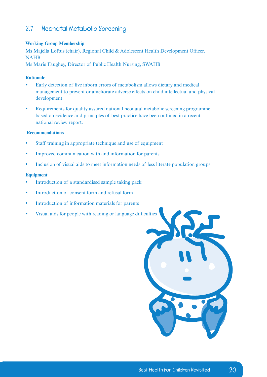### **3.7 Neonatal Metabolic Screening**

#### **Working Group Membership**

Ms Majella Loftus (chair), Regional Child & Adolescent Health Development Officer, **NAHB** 

Ms Marie Faughey, Director of Public Health Nursing, SWAHB

#### **Rationale**

- Early detection of five inborn errors of metabolism allows dietary and medical management to prevent or ameliorate adverse effects on child intellectual and physical development.
- Requirements for quality assured national neonatal metabolic screening programme based on evidence and principles of best practice have been outlined in a recent national review report.

#### **Recommendations**

- Staff training in appropriate technique and use of equipment
- Improved communication with and information for parents
- Inclusion of visual aids to meet information needs of less literate population groups

#### **Equipment**

- Introduction of a standardised sample taking pack
- Introduction of consent form and refusal form
- Introduction of information materials for parents
- Visual aids for people with reading or language difficulties

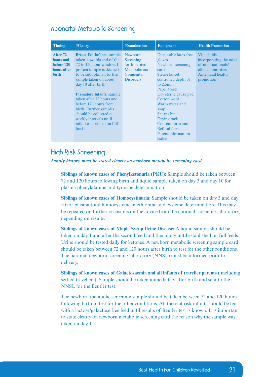### **Neonatal Metabolic Screening**

| <b>Timing</b>                                               | <b>History</b>                                                                                                                                                                                                                                                                                                                                                                                                     | <b>Examination</b>                                                                       | <b>Equipment</b>                                                                                                                                                                                                                                                                                         | <b>Health Promotion</b>                                                                                            |
|-------------------------------------------------------------|--------------------------------------------------------------------------------------------------------------------------------------------------------------------------------------------------------------------------------------------------------------------------------------------------------------------------------------------------------------------------------------------------------------------|------------------------------------------------------------------------------------------|----------------------------------------------------------------------------------------------------------------------------------------------------------------------------------------------------------------------------------------------------------------------------------------------------------|--------------------------------------------------------------------------------------------------------------------|
| After 72<br>hours and<br>before 120<br>hours after<br>birth | <b>Breast Fed Infants:</b> sample<br>taken towards end of the<br>72 to 120 hour window. If<br>protein sample is deemed<br>to be suboptimal, further<br>sample taken on about<br>day 10 after birth.<br><b>Premature Infants:</b> sample<br>taken after 72 hours and<br>before 120 hours from<br>birth. Further samples<br>should be collected at<br>weekly intervals until<br>infant established on full<br>feeds. | Newborn<br>Screening<br>for Inherited<br>Metabolic and<br>Congenital<br><b>Disorders</b> | Disposable latex free<br>gloves<br>Newborn screening<br>card<br>Sterile lancet,<br>controlled depth of<br>to $2.5$ mm<br>Paper towel<br>Dry sterile gauze pad<br>Cotton wool<br>Warm water and<br>soap<br>Sharps bin<br>Drying rack<br>Consent form and<br>Refusal form<br>Parent information<br>leaflet | Visual aids<br>incorporating the needs<br>of non-nationals/<br>ethnic minorities<br>Ante natal health<br>promotion |

## **High Risk Screening**

*Family history must be stated clearly on newborn metabolic screening card.*

**Siblings of known cases of Phenylketonuria (PKU):** Sample should be taken between 72 and 120 hours following birth and liquid sample taken on day 3 and day 10 for plasma phenylalanine and tyrosine determination.

**Siblings of known cases of Homocystinuria:** Sample should be taken on day 3 and day 10 for plasma total homocysteine, methionine and cysteine determination. This may be repeated on further occasions on the advice from the national screening laboratory, depending on results.

**Siblings of known cases of Maple Syrup Urine Disease:** A liquid sample should be taken on day 1 and after the second feed and then daily until established on full feeds. Urine should be tested daily for ketones. A newborn metabolic screening sample card should be taken between 72 and 120 hours after birth to test for the other conditions. The national newborn screening laboratory (NNSL) must be informed prior to delivery.

**Siblings of known cases of Galactosaemia and all infants of traveller parents** ( including settled travellers): Sample should be taken immediately after birth and sent to the NNSL for the Beutler test.

 The newborn metabolic screening sample should be taken between 72 and 120 hours following birth to test for the other conditions. All these at risk infants should be fed with a lactose/galactose free feed until results of Beutler test is known. It is important to state clearly on newborn metabolic screening card the reason why the sample was taken on day 1.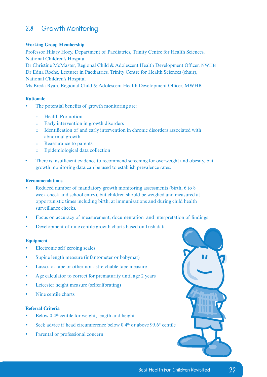## **3.8 Growth Monitoring**

#### **Working Group Membership**

Professor Hilary Hoey, Department of Paediatrics, Trinity Centre for Health Sciences, National Children's Hospital Dr Christine McMaster, Regional Child & Adolescent Health Development Officer, NWHB Dr Edna Roche, Lecturer in Paediatrics, Trinity Centre for Health Sciences (chair), National Children's Hospital Ms Breda Ryan, Regional Child & Adolescent Health Development Officer, MWHB

#### **Rationale**

- The potential benefits of growth monitoring are:
	- o Health Promotion
	- o Early intervention in growth disorders
	- o Identification of and early intervention in chronic disorders associated with abnormal growth
	- o Reassurance to parents
	- o Epidemiological data collection
- There is insufficient evidence to recommend screening for overweight and obesity, but growth monitoring data can be used to establish prevalence rates.

#### **Recommendations**

- Reduced number of mandatory growth monitoring assessments (birth, 6 to 8) week check and school entry), but children should be weighed and measured at opportunistic times including birth, at immunisations and during child health surveillance checks.
- Focus on accuracy of measurement, documentation and interpretation of findings
- Development of nine centile growth charts based on Irish data

#### **Equipment**

- Electronic self zeroing scales
- Supine length measure (infantometer or babymat)
- Lasso- o- tape or other non-stretchable tape measure
- Age calculator to correct for prematurity until age 2 years
- Leicester height measure (selfcalibrating)
- Nine centile charts

#### **Referral Criteria**

- Below  $0.4<sup>th</sup>$  centile for weight, length and height
- Seek advice if head circumference below  $0.4<sup>th</sup>$  or above 99.6<sup>th</sup> centile
- Parental or professional concern

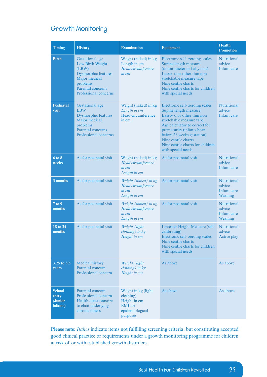## **Growth Monitoring**

| <b>Timing</b>                                 | <b>History</b>                                                                                                                                        | <b>Examination</b>                                                                                 | <b>Equipment</b>                                                                                                                                                                                                                                                                               | <b>Health</b><br><b>Promotion</b>                      |
|-----------------------------------------------|-------------------------------------------------------------------------------------------------------------------------------------------------------|----------------------------------------------------------------------------------------------------|------------------------------------------------------------------------------------------------------------------------------------------------------------------------------------------------------------------------------------------------------------------------------------------------|--------------------------------------------------------|
| <b>Birth</b>                                  | Gestational age<br>Low Birth Weight<br>(LBW)<br><b>Dysmorphic features</b><br>Major medical<br>problems<br>Parental concerns<br>Professional concerns | Weight (naked) in kg<br>Length in cm<br>Head circumference<br>in cm                                | Electronic self-zeroing scales<br>Supine length measure<br>(infantometer or baby mat)<br>Lasso- o or other thin non<br>stretchable measure tape<br>Nine centile charts<br>Nine centile charts for children<br>with special needs                                                               | <b>Nutritional</b><br>advice<br>Infant care            |
| <b>Postnatal</b><br>visit                     | Gestational age<br><b>LBW</b><br><b>Dysmorphic features</b><br>Major medical<br>problems<br>Parental concerns<br>Professional concerns                | Weight (naked) in kg<br>Length in cm<br>Head circumference<br>in cm                                | Electronic self-zeroing scales<br>Supine length measure<br>Lasso- o or other thin non<br>stretchable measure tape<br>Age calculator to correct for<br>prematurity (infants born<br>before 36 weeks gestation)<br>Nine centile charts<br>Nine centile charts for children<br>with special needs | <b>Nutritional</b><br>advice<br>Infant care            |
| <b>6 to 8</b><br>weeks                        | As for postnatal visit                                                                                                                                | Weight (naked) in kg<br>Head circumference<br>in cm<br>Length in cm                                | As for postnatal visit                                                                                                                                                                                                                                                                         | <b>Nutritional</b><br>advice<br>Infant care            |
| 3 months                                      | As for postnatal visit                                                                                                                                | Weight (naked) in kg<br>Head circumference<br>in cm<br>Length in cm                                | As for postnatal visit                                                                                                                                                                                                                                                                         | Nutritional<br>advice<br>Infant care<br>Weaning        |
| 7 to 9<br>months                              | As for postnatal visit                                                                                                                                | Weight (naked) in kg<br>Head circumference<br>in cm<br>Length in cm                                | As for postnatal visit                                                                                                                                                                                                                                                                         | <b>Nutritional</b><br>advice<br>Infant care<br>Weaning |
| 18 to 24<br>months                            | As for postnatal visit                                                                                                                                | Weight (light<br>$clothing)$ in $kg$<br>Height in cm                                               | Leicester Height Measure (self<br>calibrating)<br>Electronic self-zeroing scales<br>Nine centile charts<br>Nine centile charts for children<br>with special needs                                                                                                                              | <b>Nutritional</b><br>advice<br>Active play            |
| 3.25 to 3.5<br>years                          | Medical history<br>Parental concern<br>Professional concern                                                                                           | Weight (light<br>$clothing)$ in $kg$<br>Height in cm                                               | As above                                                                                                                                                                                                                                                                                       | As above                                               |
| <b>School</b><br>entry<br>(Junior<br>infants) | Parental concern<br>Professional concern<br>Health questionnaire<br>to elicit underlying<br>chronic illness                                           | Weight in kg (light)<br>clothing)<br>Height in cm<br><b>BMI</b> for<br>epidemiological<br>purposes | As above                                                                                                                                                                                                                                                                                       | As above                                               |

**Please note:** *Italics* indicate items not fulfilling screening criteria, but constituting accepted good clinical practice or requirements under a growth monitoring programme for children at risk of or with established growth disorders.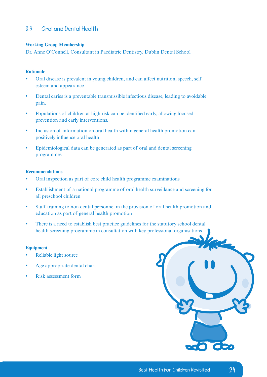#### **3.9 Oral and Dental Health**

#### **Working Group Membership**

Dr. Anne O'Connell, Consultant in Paediatric Dentistry, Dublin Dental School

#### **Rationale**

- Oral disease is prevalent in young children, and can affect nutrition, speech, self esteem and appearance.
- Dental caries is a preventable transmissible infectious disease, leading to avoidable pain.
- Populations of children at high risk can be identified early, allowing focused prevention and early interventions.
- Inclusion of information on oral health within general health promotion can positively influence oral health.
- Epidemiological data can be generated as part of oral and dental screening programmes.

#### **Recommendations**

- Oral inspection as part of core child health programme examinations
- Establishment of a national programme of oral health surveillance and screening for all preschool children
- Staff training to non dental personnel in the provision of oral health promotion and education as part of general health promotion
- There is a need to establish best practice guidelines for the statutory school dental health screening programme in consultation with key professional organisations.

#### **Equipment**

- Reliable light source
- Age appropriate dental chart
- Risk assessment form

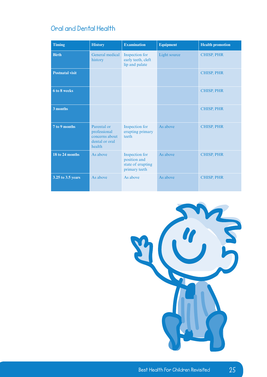## **Oral and Dental Health**

| <b>Timing</b>          | <b>History</b>                                                            | <b>Examination</b>                                                   | <b>Equipment</b> | <b>Health promotion</b> |
|------------------------|---------------------------------------------------------------------------|----------------------------------------------------------------------|------------------|-------------------------|
| <b>Birth</b>           | General medical<br>history                                                | Inspection for<br>early teeth, cleft<br>lip and palate               | Light source     | <b>CHISP, PHR</b>       |
| <b>Postnatal visit</b> |                                                                           |                                                                      |                  | <b>CHISP, PHR</b>       |
| 6 to 8 weeks           |                                                                           |                                                                      |                  | <b>CHISP, PHR</b>       |
| 3 months               |                                                                           |                                                                      |                  | <b>CHISP, PHR</b>       |
| 7 to 9 months          | Parental or<br>professional<br>concerns about<br>dental or oral<br>health | Inspection for<br>erupting primary<br>teeth                          | As above         | <b>CHISP, PHR</b>       |
| 18 to 24 months        | As above                                                                  | Inspection for<br>position and<br>state of erupting<br>primary teeth | As above         | <b>CHISP, PHR</b>       |
| 3.25 to 3.5 years      | As above                                                                  | As above                                                             | As above         | <b>CHISP, PHR</b>       |

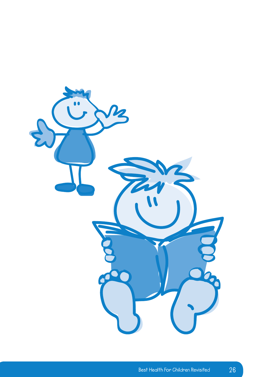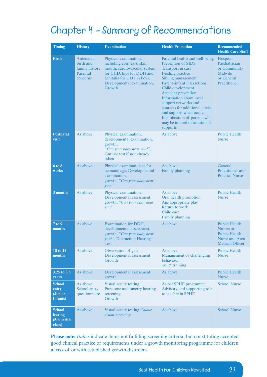## **Chapter 4 - Summary of Recommendations**

| <b>Timing</b>                                         | <b>History</b>                                                    | <b>Examination</b>                                                                                                                                                                      | <b>Health Promotion</b>                                                                                                                                                                                                                                                                                                                                                                                  | <b>Recommended</b><br><b>Health Care Staff</b>                                                               |
|-------------------------------------------------------|-------------------------------------------------------------------|-----------------------------------------------------------------------------------------------------------------------------------------------------------------------------------------|----------------------------------------------------------------------------------------------------------------------------------------------------------------------------------------------------------------------------------------------------------------------------------------------------------------------------------------------------------------------------------------------------------|--------------------------------------------------------------------------------------------------------------|
| <b>Birth</b>                                          | Antenatal,<br>birth and<br>family history<br>Parental<br>concerns | Physical examination,<br>including eyes, ears, skin,<br>mouth, cardiovascular system<br>for CHD, hips for DDH and<br>genitalia for UDT in boys,<br>Developmental examination,<br>Growth | Parental health and well-being<br>Prevention of SIDS<br>Transport in cars<br>Feeding practice<br>Sibling management<br>Parent-infant interactions<br>Child development<br><b>Accident prevention</b><br><b>Information about local</b><br>support networks and<br>contacts for additional advice<br>and support when needed<br>Identification of parents who<br>may be in need of additional<br>supports | Hospital<br>Paediatrician<br>or Community<br>Midwife<br>or General<br>Practitioner                           |
| <b>Postnatal</b><br>visit                             | As above                                                          | Physical examination,<br>developmental examination,<br>growth,<br>"Can your baby hear you?",<br>Guthrie test if not already<br>taken                                                    | As above                                                                                                                                                                                                                                                                                                                                                                                                 | <b>Public Health</b><br><b>Nurse</b>                                                                         |
| <b>6 to 8</b><br>weeks                                | As above                                                          | Physical examination as for<br>neonatal age, Developmental<br>examination,<br>growth, "Can your baby hear<br>you?"                                                                      | As above<br>Family planning                                                                                                                                                                                                                                                                                                                                                                              | General<br>Practitioner and<br><b>Practice Nurse</b>                                                         |
| 3 months                                              | As above                                                          | Physical examination,<br>Developmental assessment,<br>growth, "Can your baby hear<br>$you?$ "                                                                                           | As above<br>Oral health promotion<br>Age appropriate play<br>Return to work<br>Child care<br>Family planning                                                                                                                                                                                                                                                                                             | <b>Public Health</b><br><b>Nurse</b>                                                                         |
| 7 to 9<br>months                                      | As above                                                          | Examination for DDH,<br>developmental assessment,<br>growth, "Can your baby hear<br>you?", Distraction Hearing<br>Test                                                                  | As above                                                                                                                                                                                                                                                                                                                                                                                                 | <b>Public Health</b><br>Nurses or<br><b>Public Health</b><br><b>Nurse and Area</b><br><b>Medical Officer</b> |
| 18 to 24<br>months                                    | As above                                                          | Observation of gait<br>Developmental assessment<br>Growth                                                                                                                               | As above<br>Management of challenging<br>behaviour<br>Toilet training                                                                                                                                                                                                                                                                                                                                    | <b>Public Health</b><br><b>Nurse</b>                                                                         |
| 3.25 to 3.5<br>years                                  | As above                                                          | Developmental assessment,<br>growth                                                                                                                                                     | As above                                                                                                                                                                                                                                                                                                                                                                                                 | <b>Public Health</b><br><b>Nurse</b>                                                                         |
| <b>School</b><br>entry<br>(Junior<br><b>Infants</b> ) | As above<br>School entry<br>questionnaire                         | Visual acuity testing<br>Pure tone audiometry hearing<br>screening<br>Growth                                                                                                            | As per SPHE programme<br>Advisory and supporting role<br>to teacher in SPHE                                                                                                                                                                                                                                                                                                                              | <b>School Nurse</b>                                                                                          |
| <b>School</b><br>leaving<br>(5th or 6th<br>class)     | As above                                                          | Visual acuity testing <i>Colour</i><br>vision screening                                                                                                                                 | As above                                                                                                                                                                                                                                                                                                                                                                                                 | <b>School Nurse</b>                                                                                          |

**Please note:** *Italics* indicate items not fulfilling screening criteria, but constituting accepted good clinical practice or requirements under a growth monitoring programme for children at risk of or with established growth disorders.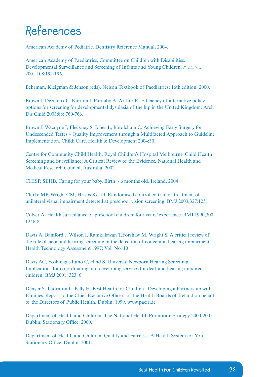## **References**

American Academy of Pediatric. Dentistry Reference Manual, 2004.

American Academy of Paediatrics, Committee on Children with Disabilities. Developmental Surveillance and Screening of Infants and Young Children. *Paediatrics*  2001;108:192-196.

Behrman, Kleigman & Jenson (eds). Nelson Textbook of Paediatrics; 16th edition, 2000.

Brown J, Dezateux C, Karnon J, Parnaby A, Arthur R. Efficiency of alternative policy options for screening for developmental dysplasia of the hip in the United Kingdom. Arch Dis Child 2003;88: 760-766.

Brown J, Wacoyne I, Fleckney S, Jones L, Barolchain C. Achieving Early Surgery for Undescended Testes – Quality Improvement through a Multifacted Approach to Guideline Implementation. Child: Care, Health & Development 2004;30.

Centre for Community Child Health, Royal Children's Hospital Melbourne. Child Health Screening and Surveillance: A Critical Review of the Evidence. National Health and Medical Research Council, Australia, 2002.

CHISP, SEHB, Caring for your baby. Birth - 6 months old. Ireland, 2004

Clarke MP, Wright CM, Hrisos S et al. Randomised controlled trial of treatment of unilateral visual impairment detected at preschool vision screening. BMJ 2003;327:1251.

Colver A. Health surveillance of preschool children: four years' experience. BMJ 1990;300: 1246-8.

Davis A, Bamford J, Wilson I, Ramkalawan T,Forshaw M, Wright S. A critical review of the role of neonatal hearing screening in the detection of congenital hearing impairment. Health Technology Assessment 1997; Vol: No. 10

Davis AC, Yoshinaga-Itano C, Hind S. Universal Newborn Hearing Screening: Implications for co-ordinating and developing services for deaf and hearing impaired children. BMJ 2001; 323: 6.

Denyer S, Thornton L, Pelly H. Best Health for Children. Developing a Partnership with Families. Report to the Chief Executive Officers of the Health Boards of Ireland on behalf of the Directors of Public Health. Dublin; 1999. www.pacirl.ie

Department of Health and Children. The National Health Promotion Strategy 2000-2005. Dublin; Stationary Office: 2000.

Department of Health and Children. Quality and Fairness- A Health System for You. Stationary Office; Dublin: 2001.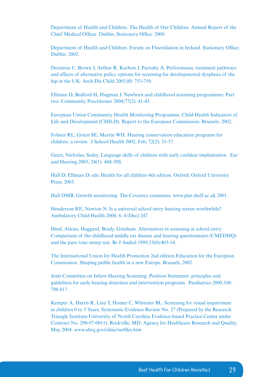Department of Health and Children. The Health of Our Children. Annual Report of the Chief Medical Officer. Dublin; Stationary Office: 2000.

Department of Health and Children. Forum on Fluoridation in Ireland. Stationary Office; Dublin: 2002.

Dezateux C, Brown J, Arthur R, Karhon J, Parnaby A. Performance, treatment pathways and effects of alternative policy options for screening for developmental dysplasia of the hip in the UK. Arch Dis Child 2003;88: 753-759.

Elliman D, Bedford H, Hugman J. Newborn and childhood screening programmes: Part two. Community Practitioner 2004;77(2): 41-43.

European Union Community Health Monitoring Programme. Child Health Indicators of Life and Development (CHILD). Report to the European Commission; Brussels: 2002.

Folmer RL, Griest SE, Martin WH. Hearing conservation education programs for children: a review. J School Health 2002, Feb; 72(2): 51-57.

Geers, Nicholas, Sedey. Language skills of children with early cochlear implantation. Ear and Hearing 2003; 24(1): 46S-58S.

Hall D, Elliman D. eds. Health for all children 4th edition. Oxford: Oxford University Press, 2003.

Hall DMB. Growth monitoring: The Coventry consensus. www.pier.sheff.ac.uk 2001.

Henderson RE, Newton N. Is a universal school entry hearing screen worthwhile? Ambulatory Child Health 2000; 6; 4 (Dec) 247.

Hind, Atkins, Haggard, Brady, Grinham. Alternatives in screening at school entry: Comparison of the childhood middle ear disease and hearing questionnaire (CMEDHQ) and the pure tone sweep test. Br J Audiol 1999;33(6):403-14.

The International Union for Health Promotion 2nd edition.Education for the European Commission. Shaping public health in a new Europe. Brussels, 2002.

Joint Committee on Infant Hearing Screening. Position Statement: principles and guidelines for early hearing detection and intervention programs. Paediatrics 2000,106: 798-817.

Kemper A, Harris R, Lieu T, Homer C, Whitener BL. Screening for visual impairment in children 0 to 5 Years. Systematic Evidence Review No. 27 (Prepared by the Research Triangle Institute-University of North Carolina Evidence-based Practice Center under Contract No. 290-97-0011). Rockville, MD: Agency for Healthcare Research and Quality. May 2004. www.ahrq.gov/clinic/serfiles.htm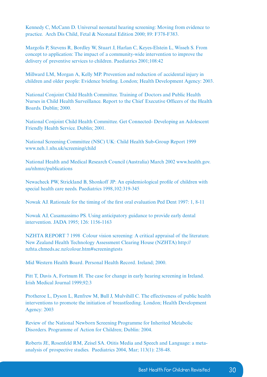Kennedy C, McCann D. Universal neonatal hearing screening: Moving from evidence to practice. Arch Dis Child, Fetal & Neonatal Edition 2000; 89: F378-F383.

Margolis P, Stevens R, Bordley W, Stuart J, Harlan C, Keyes-Elstein L, Wisseh S. From concept to application: The impact of a community-wide intervention to improve the delivery of preventive services to children. Paediatrics 2001;108:42

Millward LM, Morgan A, Kelly MP. Prevention and reduction of accidental injury in children and older people: Evidence briefing. London; Health Development Agency: 2003.

National Conjoint Child Health Committee. Training of Doctors and Public Health Nurses in Child Health Surveillance. Report to the Chief Executive Officers of the Health Boards. Dublin; 2000.

National Conjoint Child Health Committee. Get Connected- Developing an Adolescent Friendly Health Service. Dublin; 2001.

National Screening Committee (NSC) UK: Child Health Sub-Group Report 1999 www.neh.1.nhs.uk/screening/child

National Health and Medical Research Council (Australia) March 2002 www.health.gov. au/nhmrc/publications

Newacheck PW, Strickland B, Shonkoff JP: An epidemiological profile of children with special health care needs. Paediatrics 1998,102:319-345

Nowak AJ. Rationale for the timing of the first oral evaluation Ped Dent 1997: 1, 8-11

Nowak AJ, Casamassimo PS. Using anticipatory guidance to provide early dental intervention. JADA 1995; 126: 1156-1163

NZHTA REPORT 7 1998 Colour vision screening: A critical appraisal of the literature. New Zealand Health Technology Assessment Clearing House (NZHTA) http:// nzhta.chmeds.ac.nz/colour.htm#screeningtests

Mid Western Health Board. Personal Health Record. Ireland; 2000.

Pitt T, Davis A, Fortnum H. The case for change in early hearing screening in Ireland. Irish Medical Journal 1999;92:3

Protheroe L, Dyson L, Renfrew M, Bull J, Mulvihill C. The effectiveness of public health interventions to promote the initiation of breastfeeding. London; Health Development Agency: 2003

Review of the National Newborn Screening Programme for Inherited Metabolic Disorders. Programme of Action for Children; Dublin: 2004.

Roberts JE, Rosenfeld RM, Zeisel SA. Otitis Media and Speech and Language: a metaanalysis of prospective studies. Paediatrics 2004, Mar; 113(1): 238-48.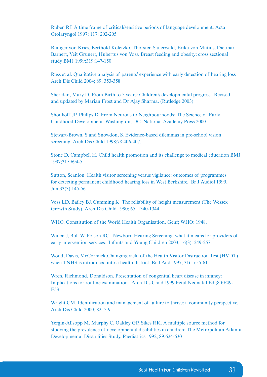Ruben RJ. A time frame of critical/sensitive periods of language development. Acta Otolaryngol 1997; 117: 202-205

Rüdiger von Kries, Berthold Koletzko, Thorsten Sauerwald, Erika von Mutius, Dietmar Barnert, Veit Grunert, Hubertus von Voss. Breast feeding and obesity: cross sectional study BMJ 1999;319:147-150

Russ et al. Qualitative analysis of parents' experience with early detection of hearing loss. Arch Dis Child 2004; 89, 353-358.

Sheridan, Mary D. From Birth to 5 years: Children's developmental progress. Revised and updated by Marian Frost and Dr Ajay Sharma. (Rutledge 2003)

Shonkoff JP, Phillps D. From Neurons to Neighbourhoods: The Science of Early Childhood Development. Washington, DC: National Academy Press 2000

Stewart-Brown, S and Snowdon, S. Evidence-based dilemmas in pre-school vision screening. Arch Dis Child 1998;78:406-407.

Stone D, Campbell H. Child health promotion and its challenge to medical education BMJ 1997;315:694-5.

Sutton, Scanlon. Health visitor screening versus vigilance: outcomes of programmes for detecting permanent childhood hearing loss in West Berkshire. Br J Audiol 1999. Jun;33(3):145-56.

Voss LD, Bailey BJ, Cumming K. The reliability of height measurement (The Wessex Growth Study). Arch Dis Child 1990; 65: 1340-1344.

WHO, Constitution of the World Health Organisation. Genf; WHO: 1948.

Widen J, Bull W, Folson RC. Newborn Hearing Screening: what it means for providers of early intervention services. Infants and Young Children 2003; 16(3): 249-257.

Wood, Davis, McCormick.Changing yield of the Health Visitor Distraction Test (HVDT) when TNHS is introduced into a health district. Br J Aud 1997; 31(1):55-61.

Wren, Richmond, Donaldson. Presentation of congenital heart disease in infancy: Implications for routine examination. Arch Dis Child 1999 Fetal Neonatal Ed.;80:F49- F53

Wright CM. Identification and management of failure to thrive: a community perspective. Arch Dis Child 2000; 82: 5-9.

Yergin-Allsopp M, Murphy C, Oakley GP, Sikes RK. A multiple source method for studying the prevalence of developmental disabilities in children: The Metropolitan Atlanta Developmental Disabilities Study. Paediatrics 1992; 89:624-630